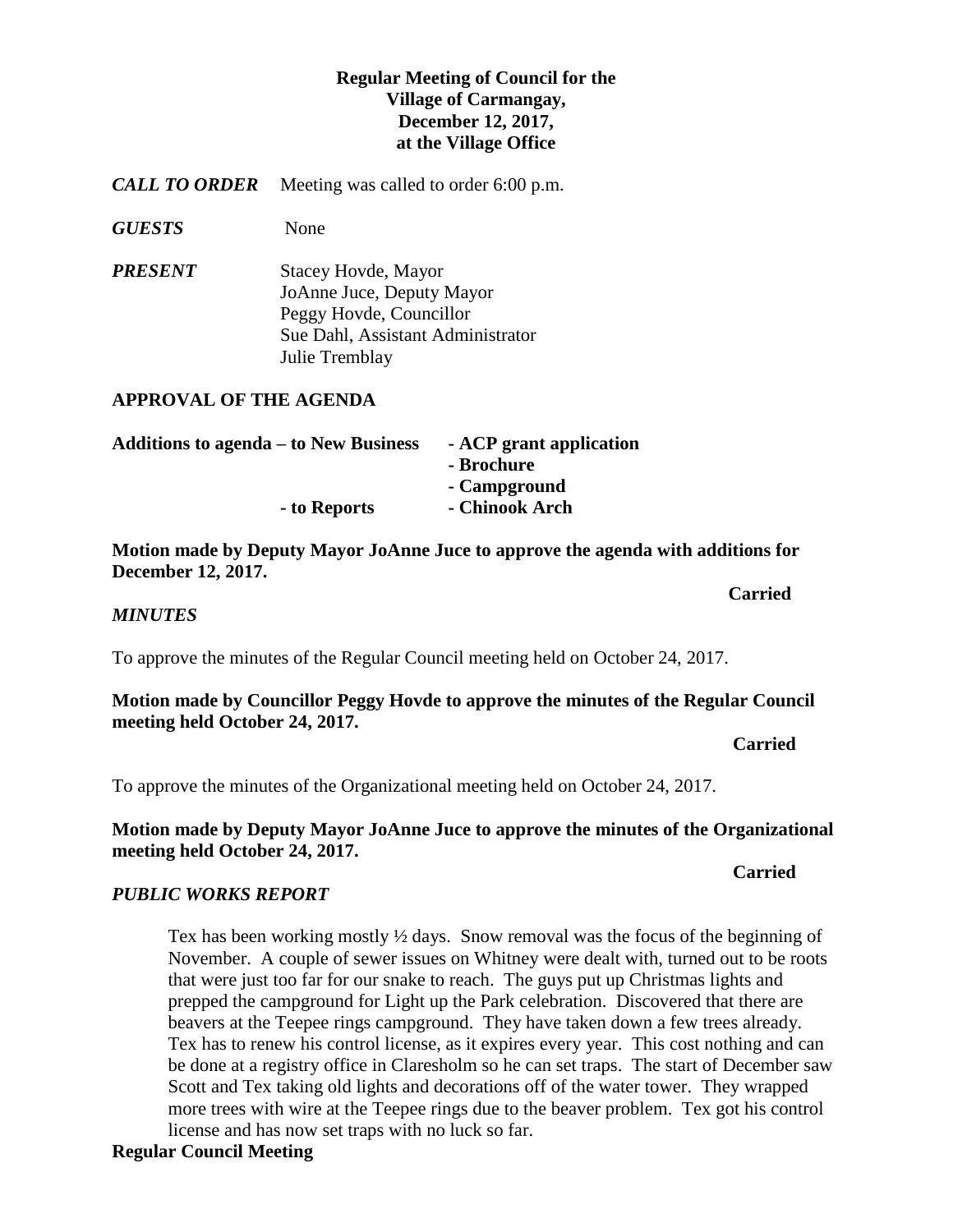## **Regular Meeting of Council for the Village of Carmangay, December 12, 2017, at the Village Office**

*CALL TO ORDER* Meeting was called to order 6:00 p.m.

*GUESTS* None

*PRESENT* Stacey Hovde, Mayor JoAnne Juce, Deputy Mayor Peggy Hovde, Councillor Sue Dahl, Assistant Administrator Julie Tremblay

#### **APPROVAL OF THE AGENDA**

| <b>Additions to agenda – to New Business</b> | - ACP grant application |
|----------------------------------------------|-------------------------|
|                                              | - Brochure              |
|                                              | - Campground            |
| - to Reports                                 | - Chinook Arch          |

**Motion made by Deputy Mayor JoAnne Juce to approve the agenda with additions for December 12, 2017.**

**Carried** 

*MINUTES*

To approve the minutes of the Regular Council meeting held on October 24, 2017.

**Motion made by Councillor Peggy Hovde to approve the minutes of the Regular Council meeting held October 24, 2017.** 

*Carried* 

To approve the minutes of the Organizational meeting held on October 24, 2017.

#### **Motion made by Deputy Mayor JoAnne Juce to approve the minutes of the Organizational meeting held October 24, 2017.**

#### *Carried*

## *PUBLIC WORKS REPORT*

Tex has been working mostly ½ days. Snow removal was the focus of the beginning of November. A couple of sewer issues on Whitney were dealt with, turned out to be roots that were just too far for our snake to reach. The guys put up Christmas lights and prepped the campground for Light up the Park celebration. Discovered that there are beavers at the Teepee rings campground. They have taken down a few trees already. Tex has to renew his control license, as it expires every year. This cost nothing and can be done at a registry office in Claresholm so he can set traps. The start of December saw Scott and Tex taking old lights and decorations off of the water tower. They wrapped more trees with wire at the Teepee rings due to the beaver problem. Tex got his control license and has now set traps with no luck so far.

## **Regular Council Meeting**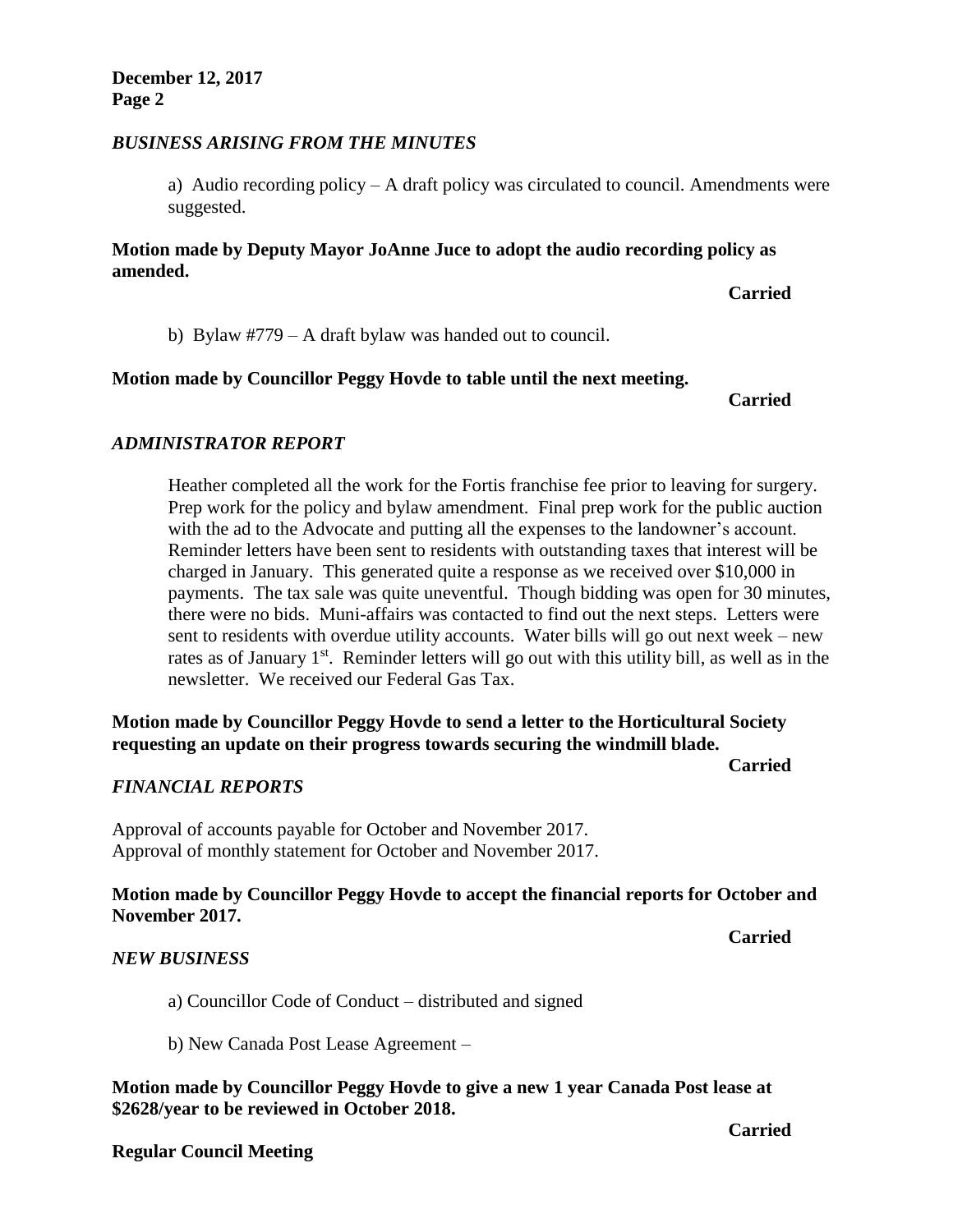#### *BUSINESS ARISING FROM THE MINUTES*

a) Audio recording policy – A draft policy was circulated to council. Amendments were suggested.

#### **Motion made by Deputy Mayor JoAnne Juce to adopt the audio recording policy as amended.**

**Carried**

b) Bylaw #779 – A draft bylaw was handed out to council.

#### **Motion made by Councillor Peggy Hovde to table until the next meeting.**

**Carried**

#### *ADMINISTRATOR REPORT*

Heather completed all the work for the Fortis franchise fee prior to leaving for surgery. Prep work for the policy and bylaw amendment. Final prep work for the public auction with the ad to the Advocate and putting all the expenses to the landowner's account. Reminder letters have been sent to residents with outstanding taxes that interest will be charged in January. This generated quite a response as we received over \$10,000 in payments. The tax sale was quite uneventful. Though bidding was open for 30 minutes, there were no bids. Muni-affairs was contacted to find out the next steps. Letters were sent to residents with overdue utility accounts. Water bills will go out next week – new rates as of January 1<sup>st</sup>. Reminder letters will go out with this utility bill, as well as in the newsletter. We received our Federal Gas Tax.

## **Motion made by Councillor Peggy Hovde to send a letter to the Horticultural Society requesting an update on their progress towards securing the windmill blade.**

#### *FINANCIAL REPORTS*

Approval of accounts payable for October and November 2017. Approval of monthly statement for October and November 2017.

#### **Motion made by Councillor Peggy Hovde to accept the financial reports for October and November 2017.**

**Carried**

**Carried**

#### *NEW BUSINESS*

a) Councillor Code of Conduct – distributed and signed

b) New Canada Post Lease Agreement –

#### **Motion made by Councillor Peggy Hovde to give a new 1 year Canada Post lease at \$2628/year to be reviewed in October 2018.**

#### **Regular Council Meeting**

**Carried**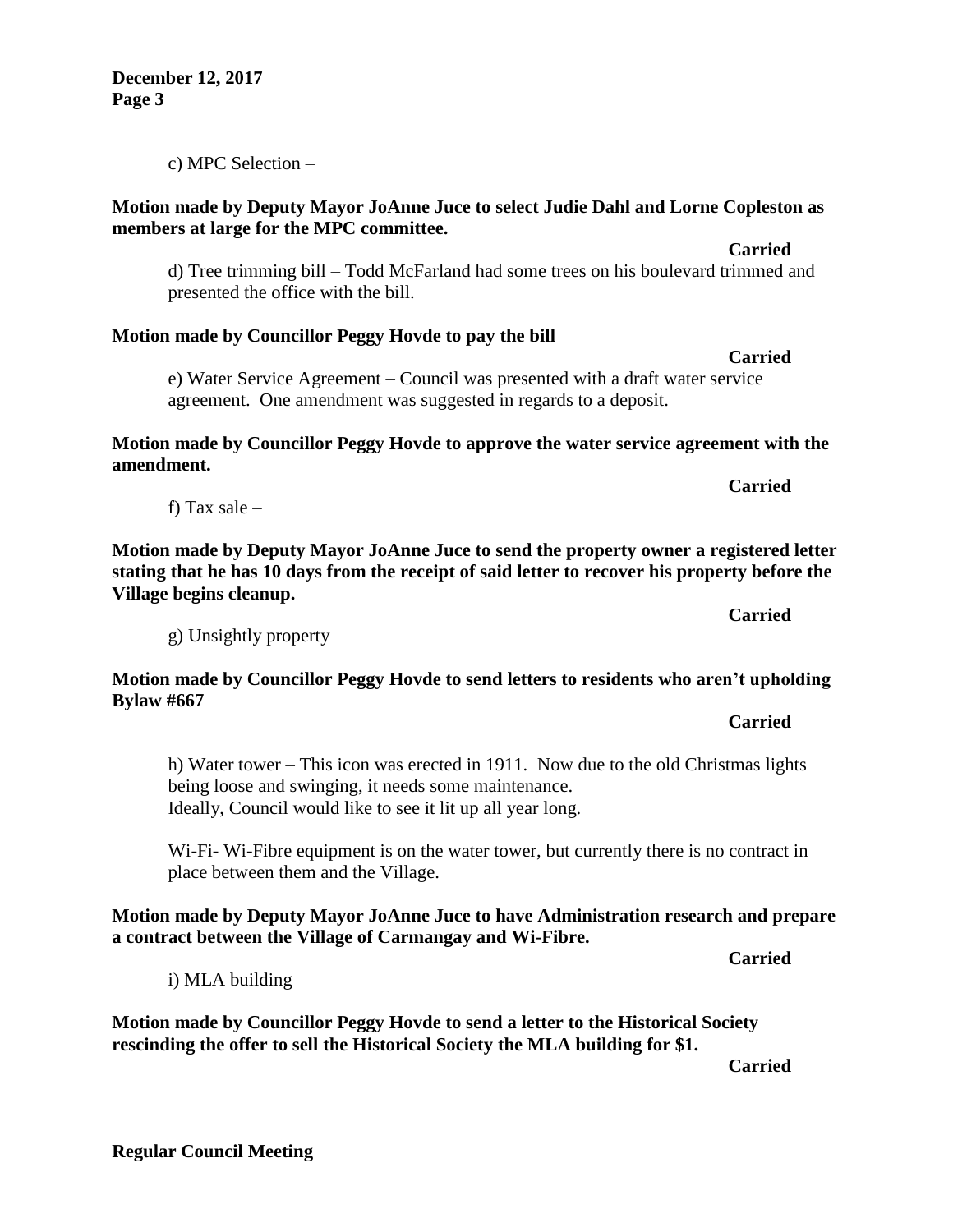i) MLA building –

place between them and the Village.

**Motion made by Councillor Peggy Hovde to send a letter to the Historical Society rescinding the offer to sell the Historical Society the MLA building for \$1.**

**Carried**

**Carried**

**Carried**

**Carried**

**Carried**

**Carried**

**Motion made by Deputy Mayor JoAnne Juce to select Judie Dahl and Lorne Copleston as members at large for the MPC committee.**

d) Tree trimming bill – Todd McFarland had some trees on his boulevard trimmed and presented the office with the bill.

## **Motion made by Councillor Peggy Hovde to pay the bill**

e) Water Service Agreement – Council was presented with a draft water service agreement. One amendment was suggested in regards to a deposit.

**Motion made by Councillor Peggy Hovde to approve the water service agreement with the amendment.**

**Motion made by Deputy Mayor JoAnne Juce to send the property owner a registered letter stating that he has 10 days from the receipt of said letter to recover his property before the Village begins cleanup.**

g) Unsightly property –

being loose and swinging, it needs some maintenance. Ideally, Council would like to see it lit up all year long.

**Motion made by Councillor Peggy Hovde to send letters to residents who aren't upholding Bylaw #667 Carried**

h) Water tower – This icon was erected in 1911. Now due to the old Christmas lights

Wi-Fi- Wi-Fibre equipment is on the water tower, but currently there is no contract in

**Motion made by Deputy Mayor JoAnne Juce to have Administration research and prepare** 

**December 12, 2017 Page 3**

c) MPC Selection –

f) Tax sale –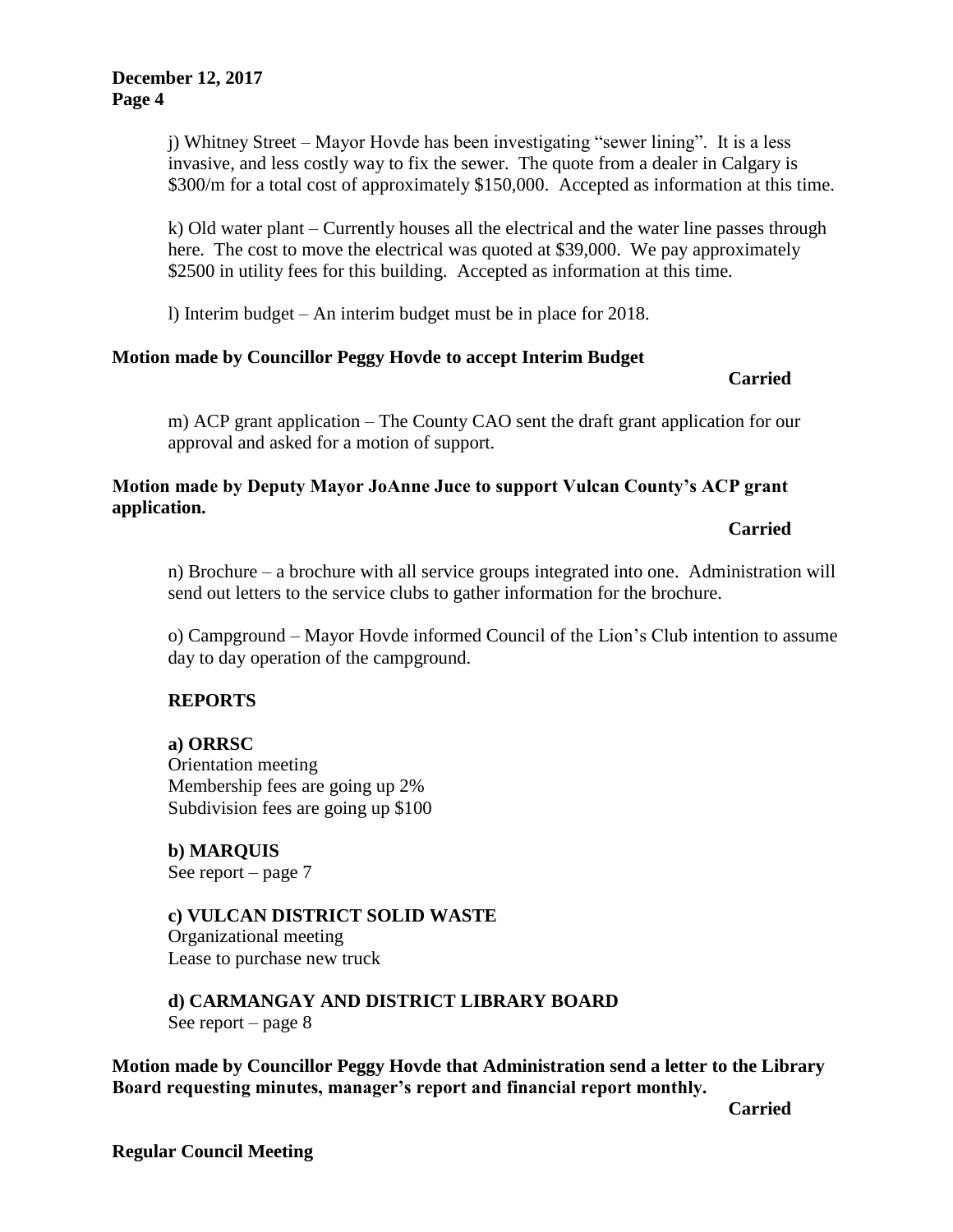j) Whitney Street – Mayor Hovde has been investigating "sewer lining". It is a less invasive, and less costly way to fix the sewer. The quote from a dealer in Calgary is \$300/m for a total cost of approximately \$150,000. Accepted as information at this time.

k) Old water plant – Currently houses all the electrical and the water line passes through here. The cost to move the electrical was quoted at \$39,000. We pay approximately \$2500 in utility fees for this building. Accepted as information at this time.

l) Interim budget – An interim budget must be in place for 2018.

## **Motion made by Councillor Peggy Hovde to accept Interim Budget**

**Carried**

m) ACP grant application – The County CAO sent the draft grant application for our approval and asked for a motion of support.

## **Motion made by Deputy Mayor JoAnne Juce to support Vulcan County's ACP grant application.**

#### **Carried**

n) Brochure – a brochure with all service groups integrated into one. Administration will send out letters to the service clubs to gather information for the brochure.

o) Campground – Mayor Hovde informed Council of the Lion's Club intention to assume day to day operation of the campground.

## **REPORTS**

**a) ORRSC** Orientation meeting Membership fees are going up 2% Subdivision fees are going up \$100

**b) MARQUIS**  See report – page 7

#### **c) VULCAN DISTRICT SOLID WASTE**  Organizational meeting Lease to purchase new truck

**d) CARMANGAY AND DISTRICT LIBRARY BOARD** See report – page 8

**Motion made by Councillor Peggy Hovde that Administration send a letter to the Library Board requesting minutes, manager's report and financial report monthly.**

**Carried**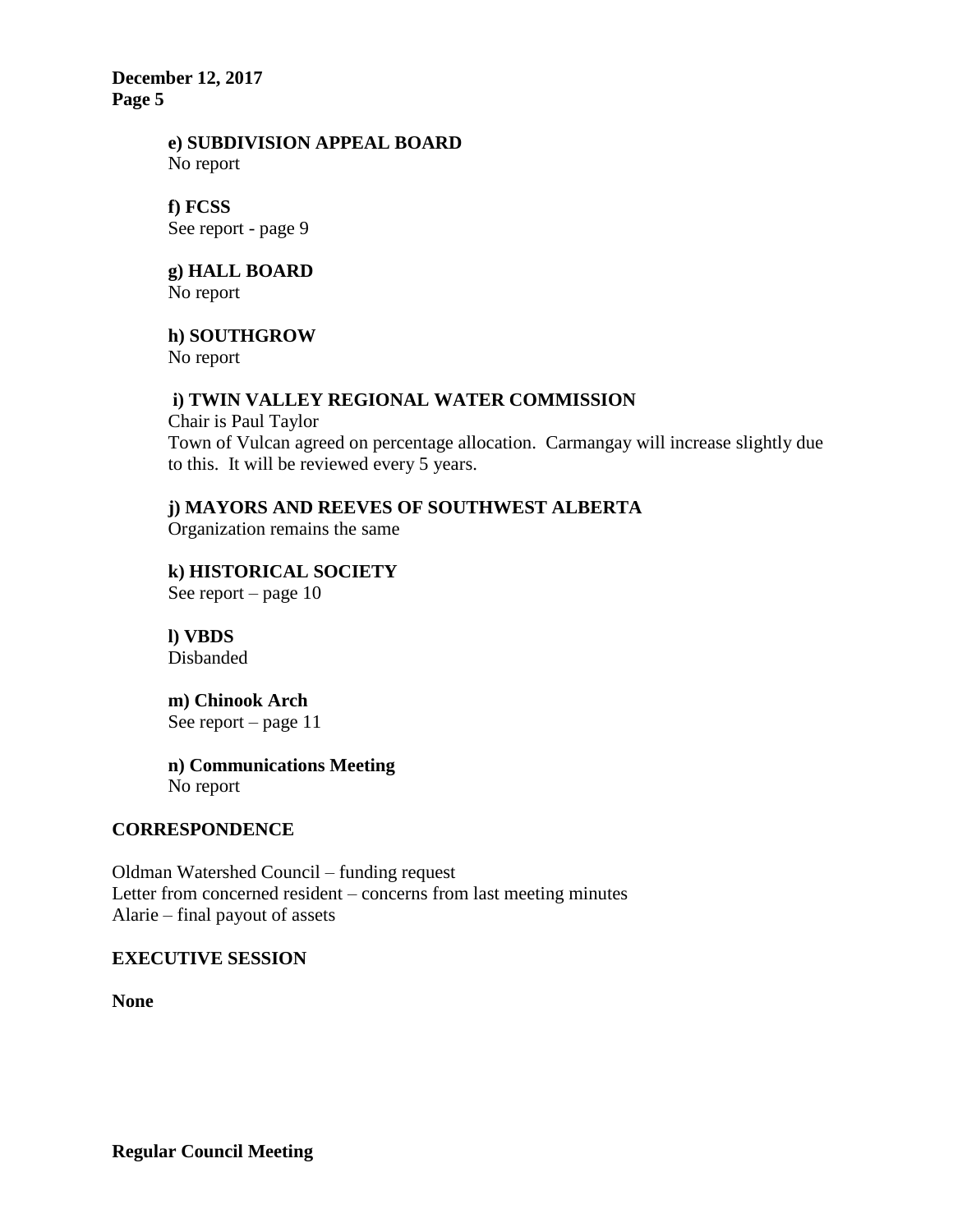**December 12, 2017 Page 5**

#### **e) SUBDIVISION APPEAL BOARD** No report

#### **f) FCSS**  See report - page 9

## **g) HALL BOARD**

No report

# **h) SOUTHGROW**

No report

## **i) TWIN VALLEY REGIONAL WATER COMMISSION**

Chair is Paul Taylor Town of Vulcan agreed on percentage allocation. Carmangay will increase slightly due to this. It will be reviewed every 5 years.

## **j) MAYORS AND REEVES OF SOUTHWEST ALBERTA**

Organization remains the same

**k) HISTORICAL SOCIETY** See report – page 10

**l) VBDS** Disbanded

**m) Chinook Arch** See report – page 11

**n) Communications Meeting** No report

## **CORRESPONDENCE**

Oldman Watershed Council – funding request Letter from concerned resident – concerns from last meeting minutes Alarie – final payout of assets

## **EXECUTIVE SESSION**

**None**

**Regular Council Meeting**